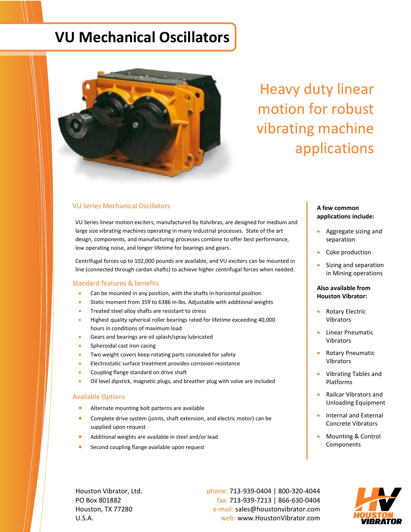### **VU Mechanical Oscillators**



# Heavy duty linear motion for robust vibrating machine applications

#### VU Series Mechanical Oscillators

VU Series linear motion exciters, manufactured by Italvibras, are designed for medium and large size vibrating machines operating in many industrial processes. State of the art design, components, and manufacturing processes combine to offer best performance, low operating noise, and longer lifetime for bearings and gears.

Centrifugal forces up to 102,000 pounds are available, and VU exciters can be mounted in line (connected through cardan shafts) to achieve higher centrifugal forces when needed.

#### Standard features & benefits

- Can be mounted in any position, with the shafts in horizontal position
- Static moment from 359 to 6386 in-lbs. Adjustable with additional weights
- Treated steel alloy shafts are resistant to stress
- Highest quality spherical roller bearings rated for lifetime exceeding 40,000 hours in conditions of maximum load
- Gears and bearings are oil splash/spray lubricated
- Spheroidal cast iron casing
- Two weight covers keep rotating parts concealed for safety
- Electrostatic surface treatment provides corrosion resistance
- Coupling flange standard on drive shaft
- Oil level dipstick, magnetic plugs, and breather plug with valve are included

#### Available Options

- Alternate mounting bolt patterns are available
- Complete drive system (joints, shaft extension, and electric motor) can be supplied upon request
- Additional weights are available in steel and/or lead
- Second coupling flange available upon request

#### **A few common applications include:**

- Aggregate sizing and separation
- Coke production
- Sizing and separation in Mining operations

#### **Also available from Houston Vibrator:**

- Rotary Electric Vibrators
- Linear Pneumatic Vibrators
- Rotary Pneumatic Vibrators
- Vibrating Tables and Platforms
- Railcar Vibrators and Unloading Equipment
- Internal and External Concrete Vibrators
- Mounting & Control Components

Houston Vibrator, Ltd. phone: 713-939-0404 | 800-320-4044 PO Box 801882 fax: 713-939-7213 | 866-630-0404 Houston, TX 77280 e-mail: sales@houstonvibrator.com U.S.A. web: www.HoustonVibrator.com